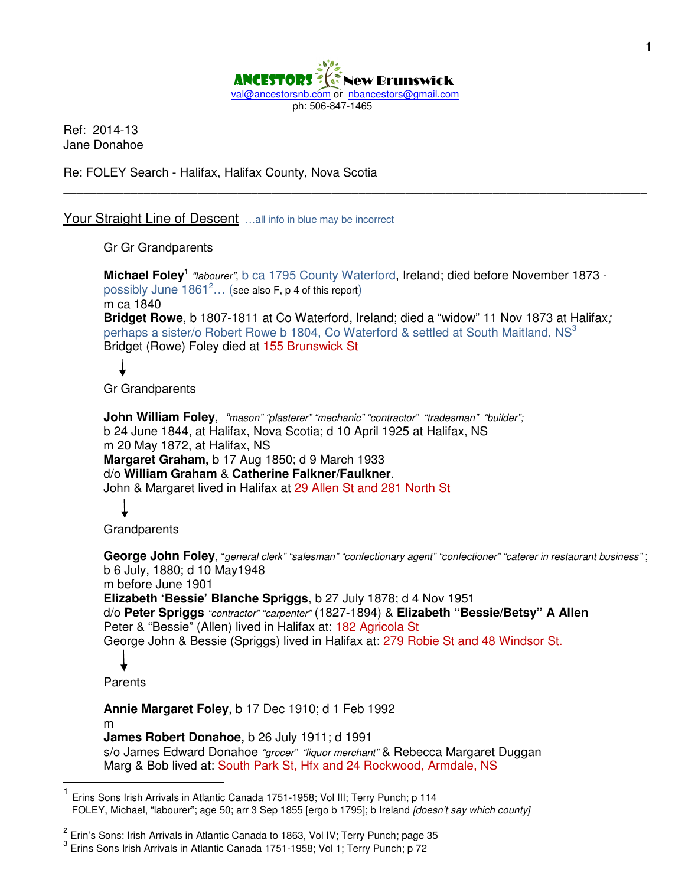

Ref: 2014-13 Jane Donahoe

Re: FOLEY Search - Halifax, Halifax County, Nova Scotia

Your Straight Line of Descent ...all info in blue may be incorrect

Gr Gr Grandparents

Michael Foley<sup>1</sup> "labourer", b ca 1795 County Waterford, Ireland; died before November 1873 possibly June  $1861^2...$  (see also F, p 4 of this report) m ca 1840 **Bridget Rowe**, b 1807-1811 at Co Waterford, Ireland; died a "widow" 11 Nov 1873 at Halifax; perhaps a sister/o Robert Rowe b 1804, Co Waterford & settled at South Maitland, NS<sup>3</sup> Bridget (Rowe) Foley died at 155 Brunswick St

\_\_\_\_\_\_\_\_\_\_\_\_\_\_\_\_\_\_\_\_\_\_\_\_\_\_\_\_\_\_\_\_\_\_\_\_\_\_\_\_\_\_\_\_\_\_\_\_\_\_\_\_\_\_\_\_\_\_\_\_\_\_\_\_\_\_\_\_\_\_\_\_\_\_\_\_\_\_\_\_\_\_\_\_\_\_\_

Gr Grandparents

**John William Foley**, "mason" "plasterer" "mechanic" "contractor" "tradesman" "builder"; b 24 June 1844, at Halifax, Nova Scotia; d 10 April 1925 at Halifax, NS m 20 May 1872, at Halifax, NS **Margaret Graham,** b 17 Aug 1850; d 9 March 1933 d/o **William Graham** & **Catherine Falkner/Faulkner**. John & Margaret lived in Halifax at 29 Allen St and 281 North St

 $\overline{a}$ 

**Grandparents** 

**George John Foley**, "general clerk" "salesman" "confectionary agent" "confectioner" "caterer in restaurant business" ; b 6 July, 1880; d 10 May1948 m before June 1901 **Elizabeth 'Bessie' Blanche Spriggs**, b 27 July 1878; d 4 Nov 1951 d/o **Peter Spriggs** "contractor" "carpenter" (1827-1894) & **Elizabeth "Bessie/Betsy" A Allen**  Peter & "Bessie" (Allen) lived in Halifax at: 182 Agricola St George John & Bessie (Spriggs) lived in Halifax at: 279 Robie St and 48 Windsor St. Parents **Annie Margaret Foley**, b 17 Dec 1910; d 1 Feb 1992

m **James Robert Donahoe,** b 26 July 1911; d 1991 s/o James Edward Donahoe "grocer" "liquor merchant" & Rebecca Margaret Duggan Marg & Bob lived at: South Park St, Hfx and 24 Rockwood, Armdale, NS

<sup>1</sup> Erins Sons Irish Arrivals in Atlantic Canada 1751-1958; Vol III; Terry Punch; p 114 FOLEY, Michael, "labourer"; age 50; arr 3 Sep 1855 [ergo b 1795]; b Ireland [doesn't say which county]

<sup>&</sup>lt;sup>2</sup> Erin's Sons: Irish Arrivals in Atlantic Canada to 1863, Vol IV; Terry Punch; page 35

<sup>&</sup>lt;sup>3</sup> Erins Sons Irish Arrivals in Atlantic Canada 1751-1958; Vol 1; Terry Punch; p 72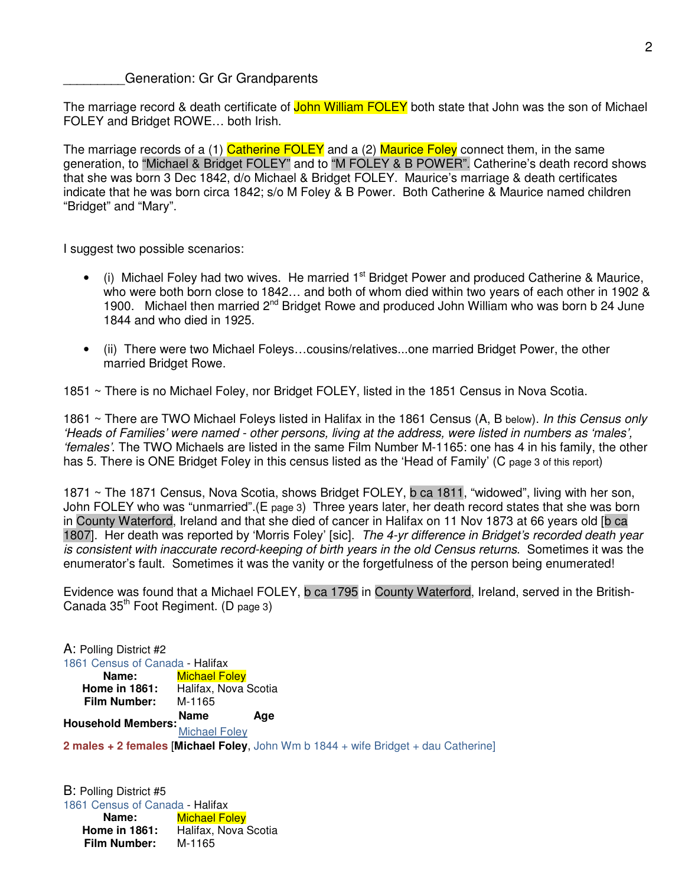\_\_\_\_\_\_\_\_\_Generation: Gr Gr Grandparents

The marriage record & death certificate of John William FOLEY both state that John was the son of Michael FOLEY and Bridget ROWE… both Irish.

The marriage records of a (1) Catherine FOLEY and a (2) Maurice Foley connect them, in the same generation, to "Michael & Bridget FOLEY" and to "M FOLEY & B POWER". Catherine's death record shows that she was born 3 Dec 1842, d/o Michael & Bridget FOLEY. Maurice's marriage & death certificates indicate that he was born circa 1842; s/o M Foley & B Power. Both Catherine & Maurice named children "Bridget" and "Mary".

I suggest two possible scenarios:

- $\bullet$  (i) Michael Foley had two wives. He married 1<sup>st</sup> Bridget Power and produced Catherine & Maurice, who were both born close to 1842… and both of whom died within two years of each other in 1902 & 1900. Michael then married 2<sup>nd</sup> Bridget Rowe and produced John William who was born b 24 June 1844 and who died in 1925.
- (ii) There were two Michael Foleys…cousins/relatives...one married Bridget Power, the other married Bridget Rowe.

1851 ~ There is no Michael Foley, nor Bridget FOLEY, listed in the 1851 Census in Nova Scotia.

1861 ~ There are TWO Michael Foleys listed in Halifax in the 1861 Census (A, B below). In this Census only 'Heads of Families' were named - other persons, living at the address, were listed in numbers as 'males', 'females'. The TWO Michaels are listed in the same Film Number M-1165: one has 4 in his family, the other has 5. There is ONE Bridget Foley in this census listed as the 'Head of Family' (C page 3 of this report)

1871 ~ The 1871 Census, Nova Scotia, shows Bridget FOLEY, b ca 1811, "widowed", living with her son, John FOLEY who was "unmarried".(E page 3) Three years later, her death record states that she was born in County Waterford, Ireland and that she died of cancer in Halifax on 11 Nov 1873 at 66 years old [b ca 1807]. Her death was reported by 'Morris Foley' [sic]. The 4-yr difference in Bridget's recorded death year is consistent with inaccurate record-keeping of birth years in the old Census returns. Sometimes it was the enumerator's fault. Sometimes it was the vanity or the forgetfulness of the person being enumerated!

Evidence was found that a Michael FOLEY, b ca 1795 in County Waterford, Ireland, served in the British-Canada  $35<sup>th</sup>$  Foot Regiment. (D page 3)

A: Polling District #2 1861 Census of Canada - Halifax<br>Name: **Name:** Michael Fo **Michael Foley Home in 1861:** Halifax, Nova Scotia **Film Number:** M-1165 **Household Members:**<br> **Household Members:** Michael Foley **2 males + 2 females** [**Michael Foley**, John Wm b 1844 + wife Bridget + dau Catherine]

B: Polling District #5 1861 Census of Canada - Halifax<br>**Name:** Michael Fo **Michael Foley** Home in 1861: Halifax, Nova Scotia **Film Number:** M-1165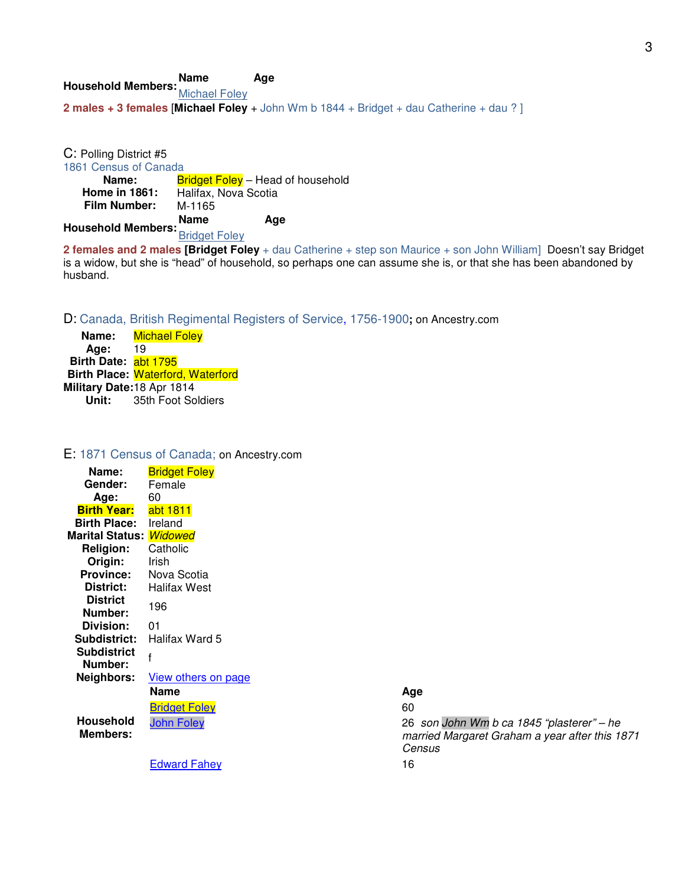**Household Members:Name Age** Michael Foley **2 males + 3 females** [**Michael Foley** + John Wm b 1844 + Bridget + dau Catherine + dau ? ]

C: Polling District #5 1861 Census of Canada<br>**Name:** B **Name:** Bridget Foley – Head of household<br>**Home in 1861:** Halifax, Nova Scotia **Halifax, Nova Scotia Film Number:** M-1165 **Household Members:Name Age** Bridget Foley

**2 females and 2 males [Bridget Foley** + dau Catherine + step son Maurice + son John William] Doesn't say Bridget is a widow, but she is "head" of household, so perhaps one can assume she is, or that she has been abandoned by husband.

D: Canada, British Regimental Registers of Service, 1756-1900**;** on Ancestry.com

**Name:** Michael Foley **Age:** 19 **Birth Date:** abt 1795 **Birth Place:** Waterford, Waterford **Military Date:18 Apr 1814**<br>**Unit:** 35th Foot So **Unit:** 35th Foot Soldiers

#### E: 1871 Census of Canada; on Ancestry.com

| Name:                          | <b>Bridget Foley</b> |      |
|--------------------------------|----------------------|------|
| Gender:                        | Female               |      |
| Age:                           | 60                   |      |
| <b>Birth Year:</b>             | abt 1811             |      |
| <b>Birth Place:</b>            | Ireland              |      |
| Marital Status: <i>Widowed</i> |                      |      |
| <b>Religion:</b>               | Catholic             |      |
| Origin:                        | Irish                |      |
| <b>Province:</b>               | Nova Scotia          |      |
| District:                      | <b>Halifax West</b>  |      |
| <b>District</b>                | 196                  |      |
| Number:                        |                      |      |
| Division:                      | 01                   |      |
| Subdistrict:                   | Halifax Ward 5       |      |
| <b>Subdistrict</b>             | f                    |      |
| Number:                        |                      |      |
| Neighbors:                     | View others on page  |      |
|                                | <b>Name</b>          | Age  |
|                                | <b>Bridget Foley</b> | 60   |
| <b>Household</b>               | <b>John Foley</b>    | 26 : |
| <b>Members:</b>                |                      | mar  |
|                                |                      | Cen  |
|                                | <b>Edward Fahev</b>  | 16   |

26 son John Wm b ca 1845 "plasterer" – he married Margaret Graham a year after this 1871 Census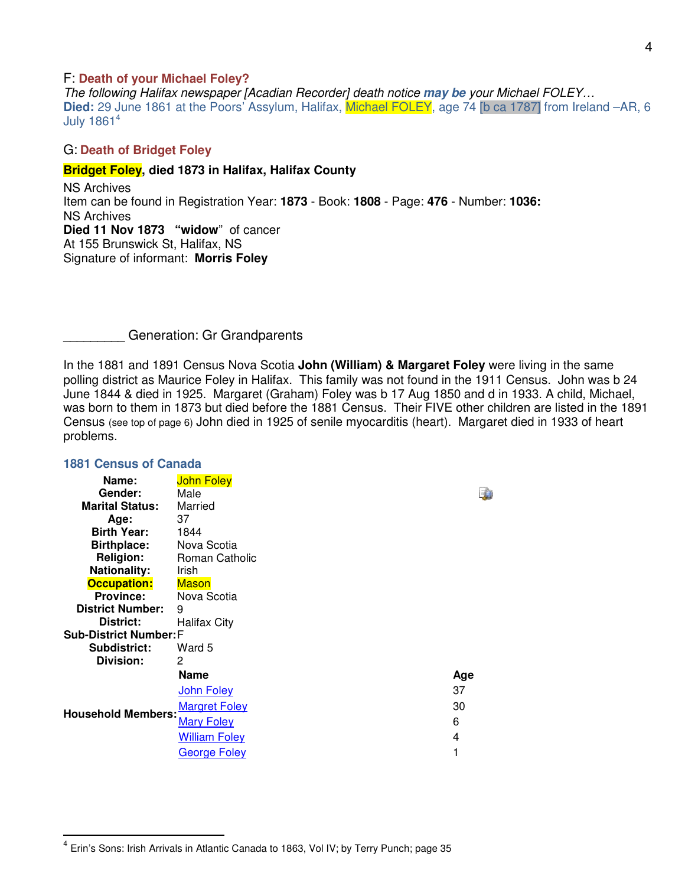#### F: **Death of your Michael Foley?**

The following Halifax newspaper [Acadian Recorder] death notice **may be** your Michael FOLEY… **Died:** 29 June 1861 at the Poors' Assylum, Halifax, Michael FOLEY, age 74 [b ca 1787] from Ireland –AR, 6 July  $1861<sup>4</sup>$ 

#### G: **Death of Bridget Foley**

#### **Bridget Foley, died 1873 in Halifax, Halifax County**

NS Archives Item can be found in Registration Year: **1873** - Book: **1808** - Page: **476** - Number: **1036:**  NS Archives **Died 11 Nov 1873 "widow**" of cancer At 155 Brunswick St, Halifax, NS Signature of informant: **Morris Foley**

\_\_\_\_\_\_\_\_\_ Generation: Gr Grandparents

In the 1881 and 1891 Census Nova Scotia **John (William) & Margaret Foley** were living in the same polling district as Maurice Foley in Halifax. This family was not found in the 1911 Census. John was b 24 June 1844 & died in 1925. Margaret (Graham) Foley was b 17 Aug 1850 and d in 1933. A child, Michael, was born to them in 1873 but died before the 1881 Census. Their FIVE other children are listed in the 1891 Census (see top of page 6) John died in 1925 of senile myocarditis (heart). Margaret died in 1933 of heart problems.

| Name:<br>Gender:<br><b>Marital Status:</b><br>Age:<br><b>Birth Year:</b><br><b>Birthplace:</b><br><b>Religion:</b><br><b>Nationality:</b> | <b>John Foley</b><br>Male<br>Married<br>37<br>1844<br>Nova Scotia<br>Roman Catholic<br><b>Irish</b> |  |
|-------------------------------------------------------------------------------------------------------------------------------------------|-----------------------------------------------------------------------------------------------------|--|
| <b>Occupation:</b>                                                                                                                        | <b>Mason</b>                                                                                        |  |
| <b>Province:</b>                                                                                                                          | Nova Scotia                                                                                         |  |
| <b>District Number:</b>                                                                                                                   | 9                                                                                                   |  |
| District:                                                                                                                                 | Halifax City                                                                                        |  |
| <b>Sub-District Number: F</b>                                                                                                             |                                                                                                     |  |
| Subdistrict:                                                                                                                              | Ward 5                                                                                              |  |
| Division:                                                                                                                                 | 2                                                                                                   |  |
|                                                                                                                                           | Name<br>Age                                                                                         |  |
|                                                                                                                                           | John Foley<br>37                                                                                    |  |
| <b>Household Members:</b>                                                                                                                 | <b>Margret Foley</b><br>30                                                                          |  |
|                                                                                                                                           | 6<br><b>Mary Foley</b>                                                                              |  |
|                                                                                                                                           | <b>William Foley</b><br>4                                                                           |  |
|                                                                                                                                           | 1<br><b>George Foley</b>                                                                            |  |
|                                                                                                                                           |                                                                                                     |  |

#### **1881 Census of Canada**

 4 Erin's Sons: Irish Arrivals in Atlantic Canada to 1863, Vol IV; by Terry Punch; page 35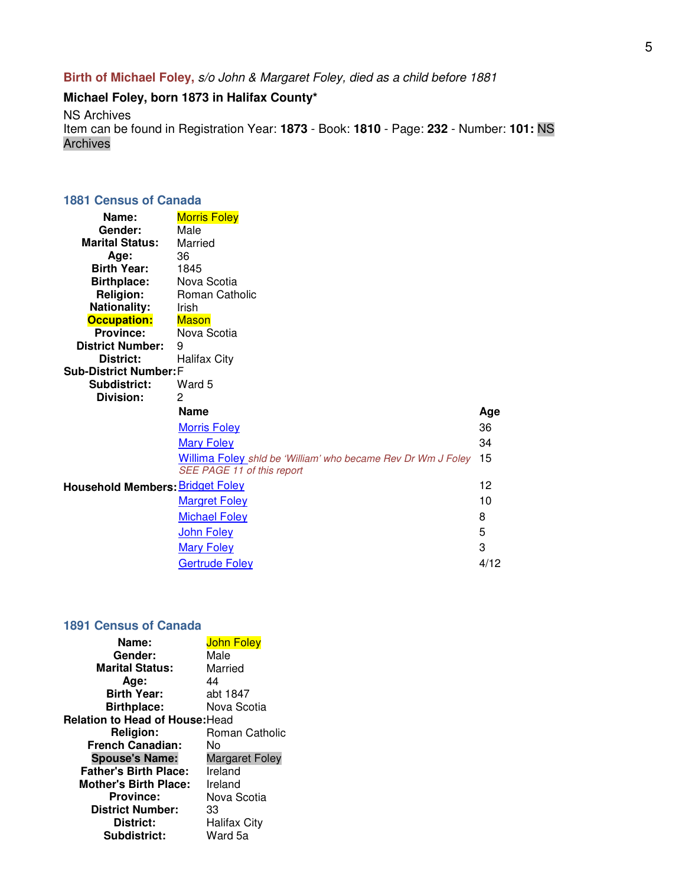**Birth of Michael Foley,** s/o John & Margaret Foley, died as a child before 1881

# **Michael Foley, born 1873 in Halifax County\***

NS Archives

Item can be found in Registration Year: **1873** - Book: **1810** - Page: **232** - Number: **101:** NS Archives

# **1881 Census of Canada**

| Name:<br>Gender:                        | <b>Morris Foley</b>                                                                        |      |
|-----------------------------------------|--------------------------------------------------------------------------------------------|------|
| <b>Marital Status:</b>                  | Male<br>Married                                                                            |      |
| Age:                                    | 36                                                                                         |      |
| <b>Birth Year:</b>                      | 1845                                                                                       |      |
| <b>Birthplace:</b>                      | Nova Scotia                                                                                |      |
| <b>Religion:</b>                        | Roman Catholic                                                                             |      |
| <b>Nationality:</b>                     | Irish                                                                                      |      |
| <b>Occupation:</b>                      | <b>Mason</b>                                                                               |      |
| <b>Province:</b>                        | Nova Scotia                                                                                |      |
| <b>District Number:</b>                 | 9                                                                                          |      |
| District:                               | <b>Halifax City</b>                                                                        |      |
| <b>Sub-District Number: F</b>           |                                                                                            |      |
| Subdistrict:                            | Ward 5                                                                                     |      |
| Division:                               | 2                                                                                          |      |
|                                         | <b>Name</b>                                                                                | Age  |
|                                         | <b>Morris Foley</b>                                                                        | 36   |
|                                         | <b>Mary Foley</b>                                                                          | 34   |
|                                         | Willima Foley shld be 'William' who became Rev Dr Wm J Foley<br>SEE PAGE 11 of this report | 15   |
| <b>Household Members: Bridget Foley</b> |                                                                                            | 12   |
|                                         | <b>Margret Foley</b>                                                                       | 10   |
|                                         | <b>Michael Foley</b>                                                                       | 8    |
|                                         | <b>John Foley</b>                                                                          | 5    |
|                                         | <b>Mary Foley</b>                                                                          | 3    |
|                                         | <b>Gertrude Foley</b>                                                                      | 4/12 |

#### **1891 Census of Canada**

| Name:                           | <b>John Foley</b>     |
|---------------------------------|-----------------------|
| Gender:                         | Male                  |
| <b>Marital Status:</b>          | Married               |
| Age:                            | 44                    |
| <b>Birth Year:</b>              | abt 1847              |
| <b>Birthplace:</b>              | Nova Scotia           |
| Relation to Head of House: Head |                       |
| <b>Religion:</b>                | Roman Catholic        |
|                                 |                       |
| <b>French Canadian:</b>         | N٥                    |
| <b>Spouse's Name:</b>           | <b>Margaret Foley</b> |
| <b>Father's Birth Place:</b>    | Ireland               |
| <b>Mother's Birth Place:</b>    | Ireland               |
| <b>Province:</b>                | Nova Scotia           |
| <b>District Number:</b>         | 33                    |
| District:                       | <b>Halifax City</b>   |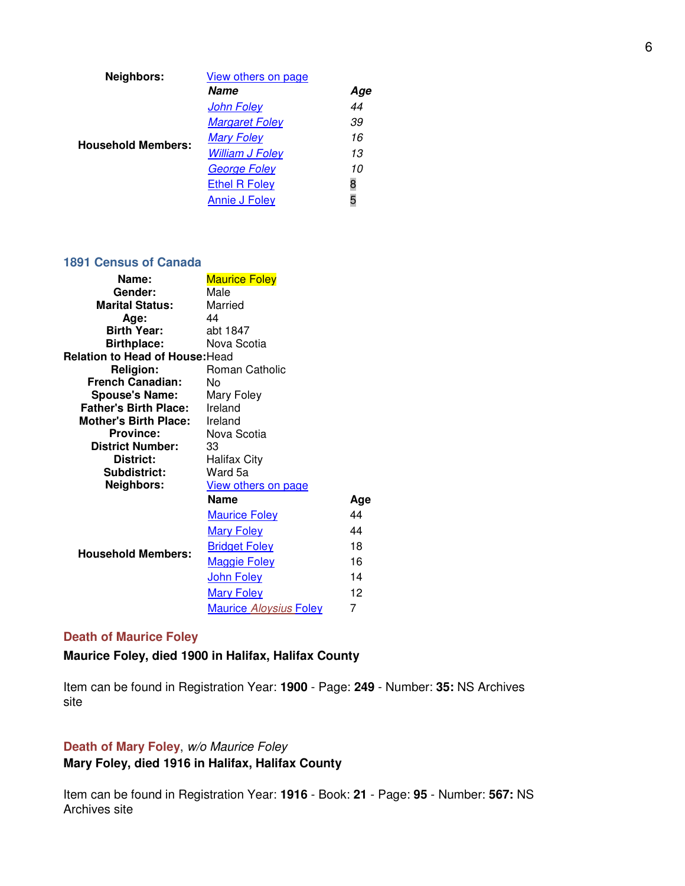| Neighbors:                | View others on page    |     |
|---------------------------|------------------------|-----|
|                           | <b>Name</b>            | Aqe |
|                           | <b>John Foley</b>      | 44  |
|                           | <b>Margaret Foley</b>  | 39  |
| <b>Household Members:</b> | <b>Mary Foley</b>      | 16  |
|                           | <b>William J Foley</b> | 13  |
|                           | <b>George Foley</b>    | 10  |
|                           | <b>Ethel R Foley</b>   | 8   |
|                           | <b>Annie J Foley</b>   | 5   |

#### **1891 Census of Canada**

| Name:                           | <b>Maurice Foley</b>          |     |
|---------------------------------|-------------------------------|-----|
| Gender:                         | Male                          |     |
| <b>Marital Status:</b>          | Married                       |     |
| Age:                            | 44                            |     |
| <b>Birth Year:</b>              | abt 1847                      |     |
| <b>Birthplace:</b>              | Nova Scotia                   |     |
| Relation to Head of House: Head |                               |     |
| <b>Religion:</b>                | Roman Catholic                |     |
| <b>French Canadian:</b>         | N٥                            |     |
| <b>Spouse's Name:</b>           | Mary Foley                    |     |
| <b>Father's Birth Place:</b>    | Ireland                       |     |
| <b>Mother's Birth Place:</b>    | Ireland                       |     |
| <b>Province:</b>                | Nova Scotia                   |     |
| <b>District Number:</b>         | 33                            |     |
| District:                       | Halifax City                  |     |
| Subdistrict:                    | Ward 5a                       |     |
| Neighbors:                      | View others on page           |     |
|                                 | <b>Name</b>                   | Age |
|                                 | <b>Maurice Foley</b>          | 44  |
|                                 | <b>Mary Foley</b>             | 44  |
| <b>Household Members:</b>       | <b>Bridget Foley</b>          | 18  |
|                                 | <b>Maggie Foley</b>           | 16  |
|                                 | John Foley                    | 14  |
|                                 | <b>Mary Foley</b>             | 12  |
|                                 | <b>Maurice Aloysius Foley</b> | 7   |

# **Death of Maurice Foley**

# **Maurice Foley, died 1900 in Halifax, Halifax County**

Item can be found in Registration Year: **1900** - Page: **249** - Number: **35:** NS Archives site

# **Death of Mary Foley**, w/o Maurice Foley

**Mary Foley, died 1916 in Halifax, Halifax County**

Item can be found in Registration Year: **1916** - Book: **21** - Page: **95** - Number: **567:** NS Archives site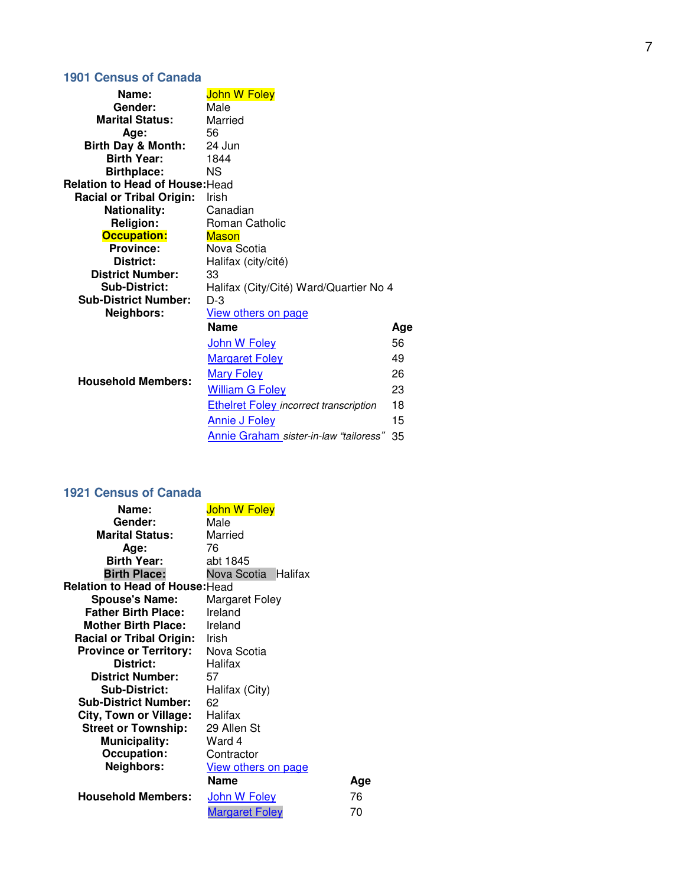# **1901 Census of Canada**

| Name:                                  | <b>John W Foley</b>                           |     |
|----------------------------------------|-----------------------------------------------|-----|
| Gender:                                | Male                                          |     |
| <b>Marital Status:</b>                 | Married                                       |     |
| Age:                                   | 56                                            |     |
| <b>Birth Day &amp; Month:</b>          | 24 Jun                                        |     |
| <b>Birth Year:</b>                     | 1844                                          |     |
| <b>Birthplace:</b>                     | NS.                                           |     |
| <b>Relation to Head of House: Head</b> |                                               |     |
| <b>Racial or Tribal Origin:</b>        | Irish                                         |     |
| <b>Nationality:</b>                    | Canadian                                      |     |
| <b>Religion:</b>                       | Roman Catholic                                |     |
| <b>Occupation:</b>                     | <b>Mason</b>                                  |     |
| <b>Province:</b>                       | Nova Scotia                                   |     |
| <b>District:</b>                       | Halifax (city/cité)                           |     |
| <b>District Number:</b>                | 33                                            |     |
| <b>Sub-District:</b>                   | Halifax (City/Cité) Ward/Quartier No 4        |     |
| <b>Sub-District Number:</b>            | $D-3$                                         |     |
| <b>Neighbors:</b>                      | View others on page                           |     |
|                                        | <b>Name</b>                                   | Age |
|                                        | John W Foley                                  | 56  |
|                                        | <b>Margaret Foley</b>                         | 49  |
| <b>Household Members:</b>              | <b>Mary Foley</b>                             | 26  |
|                                        | <b>William G Foley</b>                        | 23  |
|                                        | <b>Ethelret Foley incorrect transcription</b> | 18  |
|                                        | <b>Annie J Foley</b>                          | 15  |
|                                        | Annie Graham sister-in-law "tailoress"        | 35  |

# **1921 Census of Canada**

| Name:                                  | <b>John W Foley</b>    |     |
|----------------------------------------|------------------------|-----|
| <b>Gender:</b>                         | Male                   |     |
| <b>Marital Status:</b>                 | Married                |     |
| Age:                                   | 76                     |     |
| <b>Birth Year:</b>                     | abt 1845               |     |
| <b>Birth Place:</b>                    | Nova Scotia<br>Halifax |     |
| <b>Relation to Head of House: Head</b> |                        |     |
| <b>Spouse's Name:</b>                  | Margaret Foley         |     |
| <b>Father Birth Place:</b>             | Ireland                |     |
| <b>Mother Birth Place:</b>             | Ireland                |     |
| <b>Racial or Tribal Origin:</b>        | Irish                  |     |
| <b>Province or Territory:</b>          | Nova Scotia            |     |
| District:                              | Halifax                |     |
| <b>District Number:</b>                | 57                     |     |
| <b>Sub-District:</b>                   | Halifax (City)         |     |
| <b>Sub-District Number:</b>            | 62                     |     |
| <b>City, Town or Village:</b>          | Halifax                |     |
| <b>Street or Township:</b>             | 29 Allen St            |     |
| <b>Municipality:</b>                   | Ward 4                 |     |
| <b>Occupation:</b>                     | Contractor             |     |
| Neighbors:                             | View others on page    |     |
|                                        | <b>Name</b>            | Age |
| <b>Household Members:</b>              | <u>John W Foley</u>    | 76  |
|                                        | <b>Margaret Foley</b>  | 70  |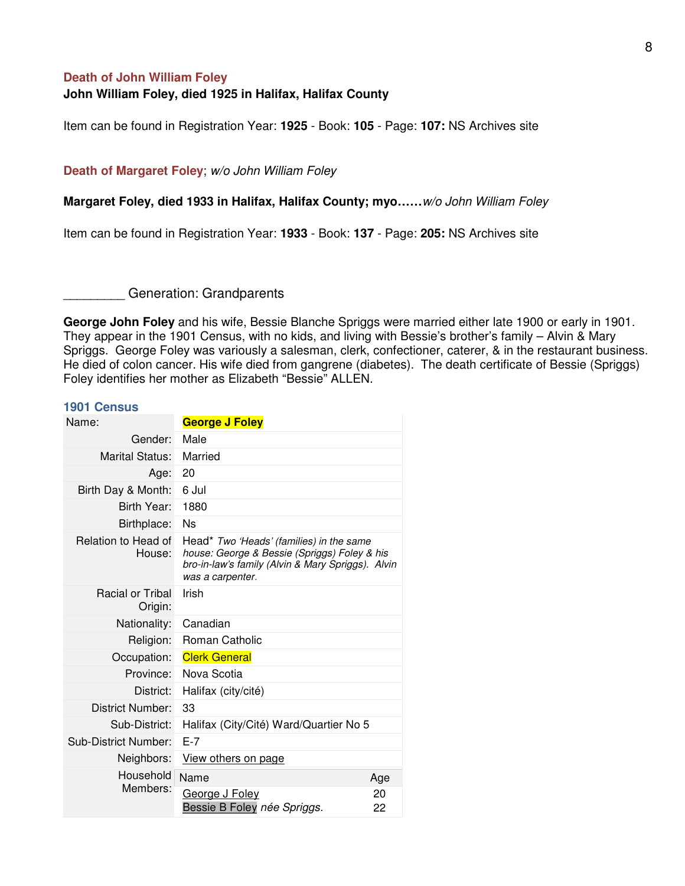#### **Death of John William Foley**

# **John William Foley, died 1925 in Halifax, Halifax County**

Item can be found in Registration Year: **1925** - Book: **105** - Page: **107:** NS Archives site

#### **Death of Margaret Foley**; w/o John William Foley

**Margaret Foley, died 1933 in Halifax, Halifax County; myo……**w/o John William Foley

Item can be found in Registration Year: **1933** - Book: **137** - Page: **205:** NS Archives site

Generation: Grandparents

**George John Foley** and his wife, Bessie Blanche Spriggs were married either late 1900 or early in 1901. They appear in the 1901 Census, with no kids, and living with Bessie's brother's family – Alvin & Mary Spriggs. George Foley was variously a salesman, clerk, confectioner, caterer, & in the restaurant business. He died of colon cancer. His wife died from gangrene (diabetes). The death certificate of Bessie (Spriggs) Foley identifies her mother as Elizabeth "Bessie" ALLEN.

#### **1901 Census**

| Name:                              | <b>George J Foley</b>                                                                                                                                             |          |  |  |
|------------------------------------|-------------------------------------------------------------------------------------------------------------------------------------------------------------------|----------|--|--|
| Gender:                            | Male                                                                                                                                                              |          |  |  |
| Marital Status:                    | Married                                                                                                                                                           |          |  |  |
| Age:                               | 20                                                                                                                                                                |          |  |  |
| Birth Day & Month:                 | 6 Jul                                                                                                                                                             |          |  |  |
| Birth Year:                        | 1880                                                                                                                                                              |          |  |  |
| Birthplace:                        | Ns                                                                                                                                                                |          |  |  |
| Relation to Head of<br>House:      | Head* Two 'Heads' (families) in the same<br>house: George & Bessie (Spriggs) Foley & his<br>bro-in-law's family (Alvin & Mary Spriggs). Alvin<br>was a carpenter. |          |  |  |
| <b>Racial or Tribal</b><br>Origin: | Irish                                                                                                                                                             |          |  |  |
| Nationality:                       | Canadian                                                                                                                                                          |          |  |  |
| Religion:                          | Roman Catholic                                                                                                                                                    |          |  |  |
| Occupation:                        | <b>Clerk General</b>                                                                                                                                              |          |  |  |
| Province:                          | Nova Scotia                                                                                                                                                       |          |  |  |
| District:                          | Halifax (city/cité)                                                                                                                                               |          |  |  |
| District Number:                   | 33                                                                                                                                                                |          |  |  |
| Sub-District:                      | Halifax (City/Cité) Ward/Quartier No 5                                                                                                                            |          |  |  |
| <b>Sub-District Number:</b>        | $E-7$                                                                                                                                                             |          |  |  |
| Neighbors:                         | View others on page                                                                                                                                               |          |  |  |
| Household                          | Name                                                                                                                                                              | Age      |  |  |
| Members:                           | George J Foley<br>Bessie B Foley née Spriggs.                                                                                                                     | 20<br>22 |  |  |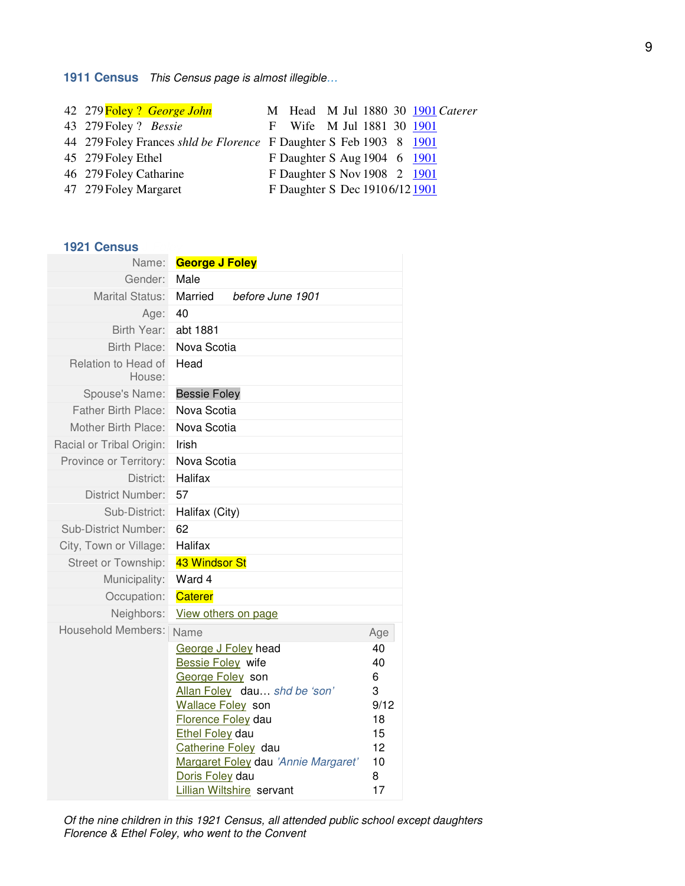# **1911 Census** This Census page is almost illegible…

| 42 279 Foley? George John                                          |                                |  |  | M Head M Jul 1880 30 1901 Caterer |
|--------------------------------------------------------------------|--------------------------------|--|--|-----------------------------------|
| 43 279 Foley ? Bessie                                              | F Wife M Jul 1881 30 1901      |  |  |                                   |
| 44 279 Foley Frances shld be Florence F Daughter S Feb 1903 8 1901 |                                |  |  |                                   |
| 45 279 Foley Ethel                                                 | F Daughter S Aug 1904 6 1901   |  |  |                                   |
| 46 279 Foley Catharine                                             | F Daughter S Nov 1908 2 1901   |  |  |                                   |
| 47 279 Foley Margaret                                              | F Daughter S Dec 19106/12 1901 |  |  |                                   |

## **1921 Census**

| Name:                         | <b>George J Foley</b>                          |            |
|-------------------------------|------------------------------------------------|------------|
| Gender:                       | Male                                           |            |
| Marital Status:               | Married<br>before June 1901                    |            |
| Age:                          | 40                                             |            |
| Birth Year:                   | abt 1881                                       |            |
| Birth Place:                  | Nova Scotia                                    |            |
| Relation to Head of<br>House: | Head                                           |            |
| Spouse's Name:                | <b>Bessie Foley</b>                            |            |
| <b>Father Birth Place:</b>    | Nova Scotia                                    |            |
| Mother Birth Place:           | Nova Scotia                                    |            |
| Racial or Tribal Origin:      | Irish                                          |            |
| Province or Territory:        | Nova Scotia                                    |            |
| District:                     | Halifax                                        |            |
| District Number:              | 57                                             |            |
| Sub-District:                 | Halifax (City)                                 |            |
| <b>Sub-District Number:</b>   | 62                                             |            |
| City, Town or Village:        | Halifax                                        |            |
| Street or Township:           | 43 Windsor St                                  |            |
| Municipality:                 | Ward 4                                         |            |
| Occupation:                   | <b>Caterer</b>                                 |            |
| Neighbors:                    | View others on page                            |            |
| <b>Household Members:</b>     | Name                                           | Age        |
|                               | George J Foley head                            | 40         |
|                               | <b>Bessie Foley</b> wife                       | 40         |
|                               | George Foley son                               | 6          |
|                               | Allan Foley dau shd be 'son'                   | 3          |
|                               | <b>Wallace Foley</b> son<br>Florence Foley dau | 9/12<br>18 |
|                               | <b>Ethel Foley dau</b>                         | 15         |
|                               | Catherine Foley dau                            | 12         |
|                               | Margaret Foley dau 'Annie Margaret'            | 10         |
|                               | Doris Foley dau                                | 8          |
|                               | Lillian Wiltshire servant                      | 17         |

Of the nine children in this 1921 Census, all attended public school except daughters Florence & Ethel Foley, who went to the Convent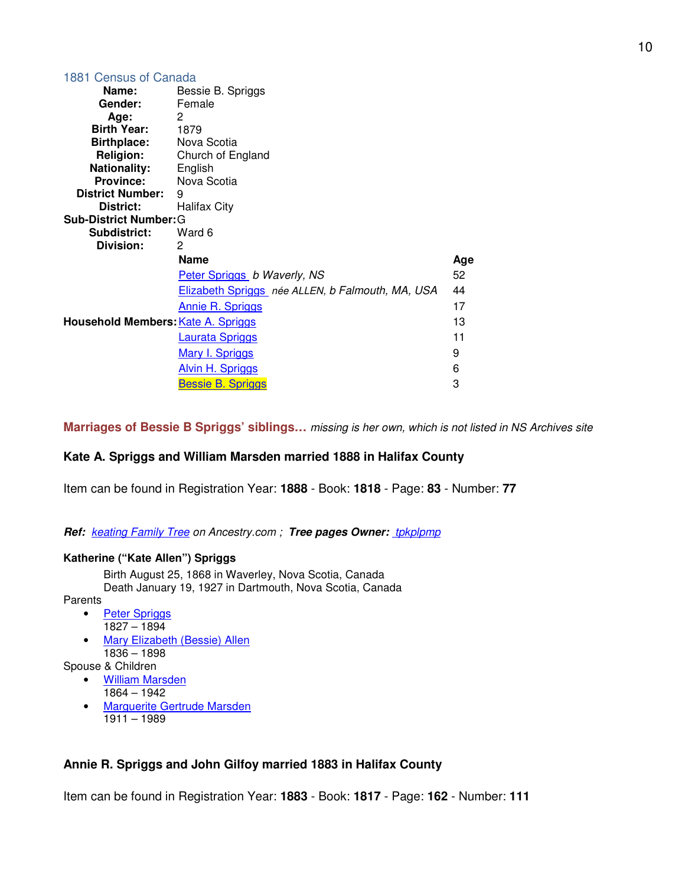| 1881 Census of Canada              |                                                  |     |
|------------------------------------|--------------------------------------------------|-----|
| Name:                              | Bessie B. Spriggs                                |     |
| Gender:                            | Female                                           |     |
| Age:                               | 2                                                |     |
| <b>Birth Year:</b>                 | 1879                                             |     |
| <b>Birthplace:</b> Nova Scotia     |                                                  |     |
| Religion:                          | Church of England                                |     |
| Nationality: English               |                                                  |     |
| <b>Province:</b>                   | Nova Scotia                                      |     |
| <b>District Number:</b>            | 9                                                |     |
| District:                          | Halifax City                                     |     |
| <b>Sub-District Number: G</b>      |                                                  |     |
| Subdistrict:                       | Ward 6                                           |     |
| Division:                          | 2                                                |     |
|                                    | <b>Name</b>                                      | Age |
|                                    | Peter Spriggs b Waverly, NS                      | 52  |
|                                    | Elizabeth Spriggs née ALLEN, b Falmouth, MA, USA | 44  |
|                                    | <b>Annie R. Spriggs</b>                          | 17  |
| Household Members: Kate A. Spriggs |                                                  | 13  |
|                                    | <b>Laurata Spriggs</b>                           | 11  |
|                                    | <b>Mary I. Spriggs</b>                           | 9   |
|                                    | <b>Alvin H. Spriggs</b>                          | 6   |
|                                    | <b>Bessie B. Spriggs</b>                         | 3   |

**Marriages of Bessie B Spriggs' siblings…** missing is her own, which is not listed in NS Archives site

# **Kate A. Spriggs and William Marsden married 1888 in Halifax County**

Item can be found in Registration Year: **1888** - Book: **1818** - Page: **83** - Number: **77**

# Ref: keating Family Tree on Ancestry.com ; Tree pages Owner: **tpkplpmp**

# **Katherine ("Kate Allen") Spriggs**

Birth August 25, 1868 in Waverley, Nova Scotia, Canada Death January 19, 1927 in Dartmouth, Nova Scotia, Canada

Parents

- Peter Spriggs
	- 1827 1894
- Mary Elizabeth (Bessie) Allen 1836 – 1898

Spouse & Children

- William Marsden
	- 1864 1942
	- Marguerite Gertrude Marsden 1911 – 1989

# **Annie R. Spriggs and John Gilfoy married 1883 in Halifax County**

Item can be found in Registration Year: **1883** - Book: **1817** - Page: **162** - Number: **111**